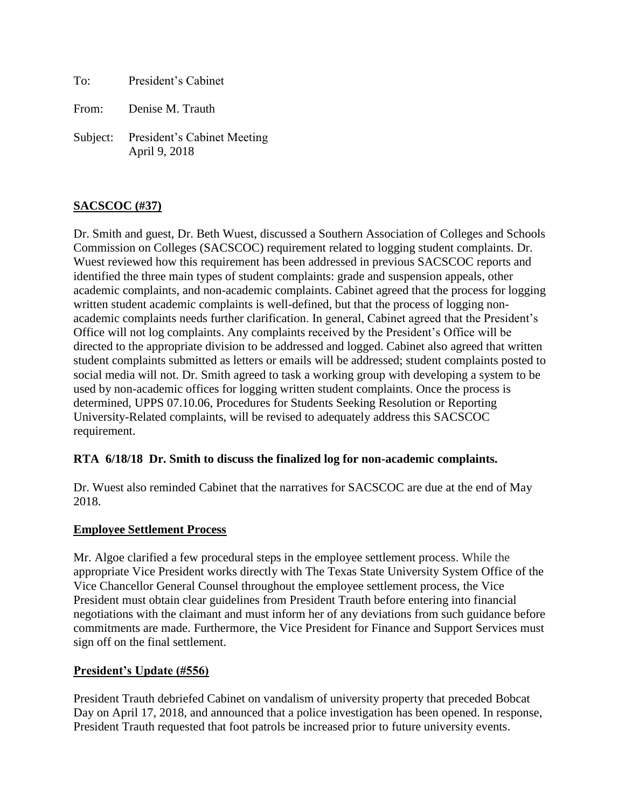To: President's Cabinet

From: Denise M. Trauth

Subject: President's Cabinet Meeting April 9, 2018

# **SACSCOC (#37)**

Dr. Smith and guest, Dr. Beth Wuest, discussed a Southern Association of Colleges and Schools Commission on Colleges (SACSCOC) requirement related to logging student complaints. Dr. Wuest reviewed how this requirement has been addressed in previous SACSCOC reports and identified the three main types of student complaints: grade and suspension appeals, other academic complaints, and non-academic complaints. Cabinet agreed that the process for logging written student academic complaints is well-defined, but that the process of logging nonacademic complaints needs further clarification. In general, Cabinet agreed that the President's Office will not log complaints. Any complaints received by the President's Office will be directed to the appropriate division to be addressed and logged. Cabinet also agreed that written student complaints submitted as letters or emails will be addressed; student complaints posted to social media will not. Dr. Smith agreed to task a working group with developing a system to be used by non-academic offices for logging written student complaints. Once the process is determined, UPPS 07.10.06, Procedures for Students Seeking Resolution or Reporting University-Related complaints, will be revised to adequately address this SACSCOC requirement.

### **RTA 6/18/18 Dr. Smith to discuss the finalized log for non-academic complaints.**

Dr. Wuest also reminded Cabinet that the narratives for SACSCOC are due at the end of May 2018.

### **Employee Settlement Process**

Mr. Algoe clarified a few procedural steps in the employee settlement process. While the appropriate Vice President works directly with The Texas State University System Office of the Vice Chancellor General Counsel throughout the employee settlement process, the Vice President must obtain clear guidelines from President Trauth before entering into financial negotiations with the claimant and must inform her of any deviations from such guidance before commitments are made. Furthermore, the Vice President for Finance and Support Services must sign off on the final settlement.

### **President's Update (#556)**

President Trauth debriefed Cabinet on vandalism of university property that preceded Bobcat Day on April 17, 2018, and announced that a police investigation has been opened. In response, President Trauth requested that foot patrols be increased prior to future university events.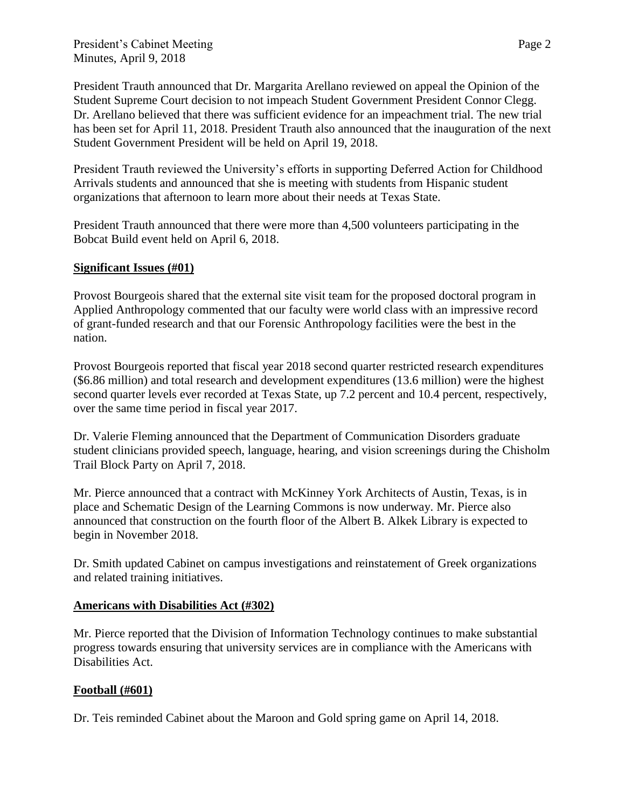President's Cabinet Meeting Page 2 Minutes, April 9, 2018

President Trauth announced that Dr. Margarita Arellano reviewed on appeal the Opinion of the Student Supreme Court decision to not impeach Student Government President Connor Clegg. Dr. Arellano believed that there was sufficient evidence for an impeachment trial. The new trial has been set for April 11, 2018. President Trauth also announced that the inauguration of the next Student Government President will be held on April 19, 2018.

President Trauth reviewed the University's efforts in supporting Deferred Action for Childhood Arrivals students and announced that she is meeting with students from Hispanic student organizations that afternoon to learn more about their needs at Texas State.

President Trauth announced that there were more than 4,500 volunteers participating in the Bobcat Build event held on April 6, 2018.

### **Significant Issues (#01)**

Provost Bourgeois shared that the external site visit team for the proposed doctoral program in Applied Anthropology commented that our faculty were world class with an impressive record of grant-funded research and that our Forensic Anthropology facilities were the best in the nation.

Provost Bourgeois reported that fiscal year 2018 second quarter restricted research expenditures (\$6.86 million) and total research and development expenditures (13.6 million) were the highest second quarter levels ever recorded at Texas State, up 7.2 percent and 10.4 percent, respectively, over the same time period in fiscal year 2017.

Dr. Valerie Fleming announced that the Department of Communication Disorders graduate student clinicians provided speech, language, hearing, and vision screenings during the Chisholm Trail Block Party on April 7, 2018.

Mr. Pierce announced that a contract with McKinney York Architects of Austin, Texas, is in place and Schematic Design of the Learning Commons is now underway. Mr. Pierce also announced that construction on the fourth floor of the Albert B. Alkek Library is expected to begin in November 2018.

Dr. Smith updated Cabinet on campus investigations and reinstatement of Greek organizations and related training initiatives.

#### **Americans with Disabilities Act (#302)**

Mr. Pierce reported that the Division of Information Technology continues to make substantial progress towards ensuring that university services are in compliance with the Americans with Disabilities Act.

### **Football (#601)**

Dr. Teis reminded Cabinet about the Maroon and Gold spring game on April 14, 2018.